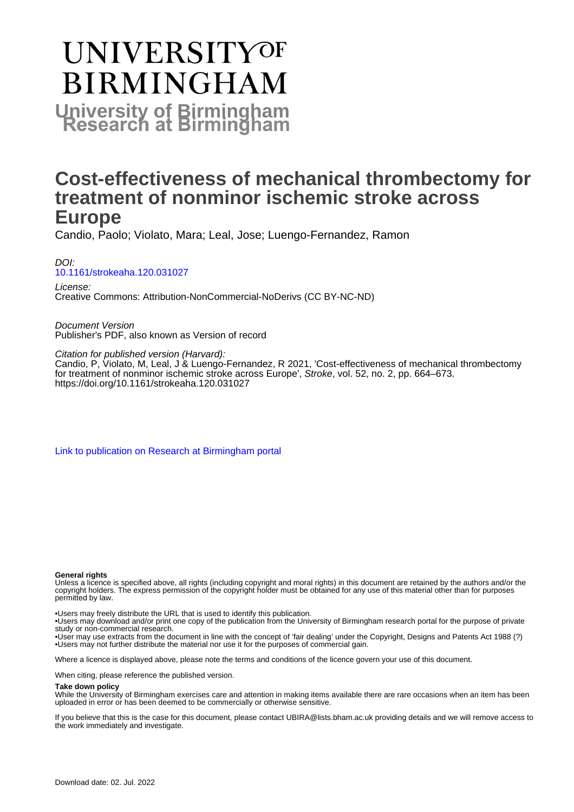# **UNIVERSITYOF BIRMINGHAM University of Birmingham**

## **Cost-effectiveness of mechanical thrombectomy for treatment of nonminor ischemic stroke across Europe**

Candio, Paolo; Violato, Mara; Leal, Jose; Luengo-Fernandez, Ramon

DOI: [10.1161/strokeaha.120.031027](https://doi.org/10.1161/strokeaha.120.031027)

License: Creative Commons: Attribution-NonCommercial-NoDerivs (CC BY-NC-ND)

Document Version Publisher's PDF, also known as Version of record

Citation for published version (Harvard):

Candio, P, Violato, M, Leal, J & Luengo-Fernandez, R 2021, 'Cost-effectiveness of mechanical thrombectomy for treatment of nonminor ischemic stroke across Europe', Stroke, vol. 52, no. 2, pp. 664–673. <https://doi.org/10.1161/strokeaha.120.031027>

[Link to publication on Research at Birmingham portal](https://birmingham.elsevierpure.com/en/publications/2c473d62-47d8-4a09-ba92-c008f3ff9117)

#### **General rights**

Unless a licence is specified above, all rights (including copyright and moral rights) in this document are retained by the authors and/or the copyright holders. The express permission of the copyright holder must be obtained for any use of this material other than for purposes permitted by law.

• Users may freely distribute the URL that is used to identify this publication.

• Users may download and/or print one copy of the publication from the University of Birmingham research portal for the purpose of private study or non-commercial research.

• User may use extracts from the document in line with the concept of 'fair dealing' under the Copyright, Designs and Patents Act 1988 (?) • Users may not further distribute the material nor use it for the purposes of commercial gain.

Where a licence is displayed above, please note the terms and conditions of the licence govern your use of this document.

When citing, please reference the published version.

#### **Take down policy**

While the University of Birmingham exercises care and attention in making items available there are rare occasions when an item has been uploaded in error or has been deemed to be commercially or otherwise sensitive.

If you believe that this is the case for this document, please contact UBIRA@lists.bham.ac.uk providing details and we will remove access to the work immediately and investigate.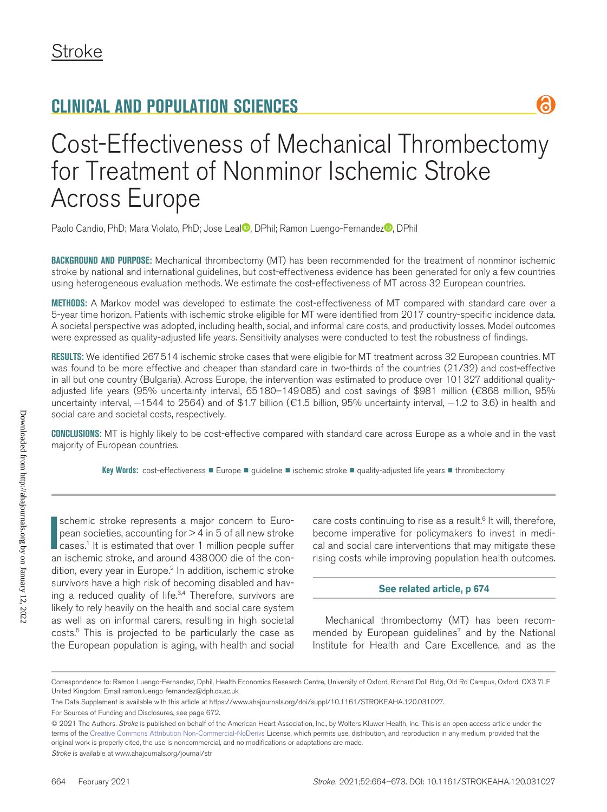

# Cost-Effectiveness of Mechanical Thrombectomy for Treatment of Nonminor Ischemic Stroke Across Europe

Paolo Candio[,](https://orcid.org/0000-0002-2118-2662) PhD; Mara Violato, PhD; Jose Leal<sup>o</sup>, DPhil; Ramon Luengo-Fernandez<sup>o</sup>, DPhil

**BACKGROUND AND PURPOSE:** Mechanical thrombectomy (MT) has been recommended for the treatment of nonminor ischemic stroke by national and international guidelines, but cost-effectiveness evidence has been generated for only a few countries using heterogeneous evaluation methods. We estimate the cost-effectiveness of MT across 32 European countries.

**METHODS:** A Markov model was developed to estimate the cost-effectiveness of MT compared with standard care over a 5-year time horizon. Patients with ischemic stroke eligible for MT were identified from 2017 country-specific incidence data. A societal perspective was adopted, including health, social, and informal care costs, and productivity losses. Model outcomes were expressed as quality-adjusted life years. Sensitivity analyses were conducted to test the robustness of findings.

**RESULTS:** We identified 267514 ischemic stroke cases that were eligible for MT treatment across 32 European countries. MT was found to be more effective and cheaper than standard care in two-thirds of the countries (21/32) and cost-effective in all but one country (Bulgaria). Across Europe, the intervention was estimated to produce over 101327 additional qualityadjusted life years (95% uncertainty interval, 65180–149085) and cost savings of \$981 million (€868 million, 95% uncertainty interval, −1544 to 2564) and of \$1.7 billion (€1.5 billion, 95% uncertainty interval, −1.2 to 3.6) in health and social care and societal costs, respectively.

**CONCLUSIONS:** MT is highly likely to be cost-effective compared with standard care across Europe as a whole and in the vast majority of European countries.

**Key Words:** cost-effectiveness ■ Europe ■ guideline ■ ischemic stroke ■ quality-adjusted life years ■ thrombectomy

**II** schemic stroke represents a major concern to European societies, accounting for  $>$  4 in 5 of all new stroke cases.<sup>1</sup> It is estimated that over 1 million people suffer an ischemic stroke, and around 438000 die of the schemic stroke represents a major concern to European societies, accounting for  $> 4$  in 5 of all new stroke cases.1 It is estimated that over 1 million people suffer dition, every year in Europe.<sup>2</sup> In addition, ischemic stroke survivors have a high risk of becoming disabled and having a reduced quality of life.<sup>3,4</sup> Therefore, survivors are likely to rely heavily on the health and social care system as well as on informal carers, resulting in high societal costs.5 This is projected to be particularly the case as the European population is aging, with health and social

care costs continuing to rise as a result.<sup>6</sup> It will, therefore, become imperative for policymakers to invest in medical and social care interventions that may mitigate these rising costs while improving population health outcomes.

#### **[See related article, p 674](https://www.ahajournals.org/journal/str/10.1161/STROKEAHA.120.032112)**

Mechanical thrombectomy (MT) has been recommended by European guidelines<sup>7</sup> and by the National Institute for Health and Care Excellence, and as the

© 2021 The Authors. *Stroke* is published on behalf of the American Heart Association, Inc., by Wolters Kluwer Health, Inc. This is an open access article under the terms of the [Creative Commons Attribution Non-Commercial-NoDerivs](https://creativecommons.org/licenses/by-nc-nd/4.0/) License, which permits use, distribution, and reproduction in any medium, provided that the original work is properly cited, the use is noncommercial, and no modifications or adaptations are made.

*Stroke* is available at www.ahajournals.org/journal/str

Correspondence to: Ramon Luengo-Fernandez, Dphil, Health Economics Research Centre, University of Oxford, Richard Doll Bldg, Old Rd Campus, Oxford, OX3 7LF United Kingdom. Email [ramon.luengo-fernandez@dph.ox.ac.uk](mailto:ramon.luengo-fernandez@dph.ox.ac.uk)

The Data Supplement is available with this article at <https://www.ahajournals.org/doi/suppl/10.1161/STROKEAHA.120.031027>.

For Sources of Funding and Disclosures, see page 672.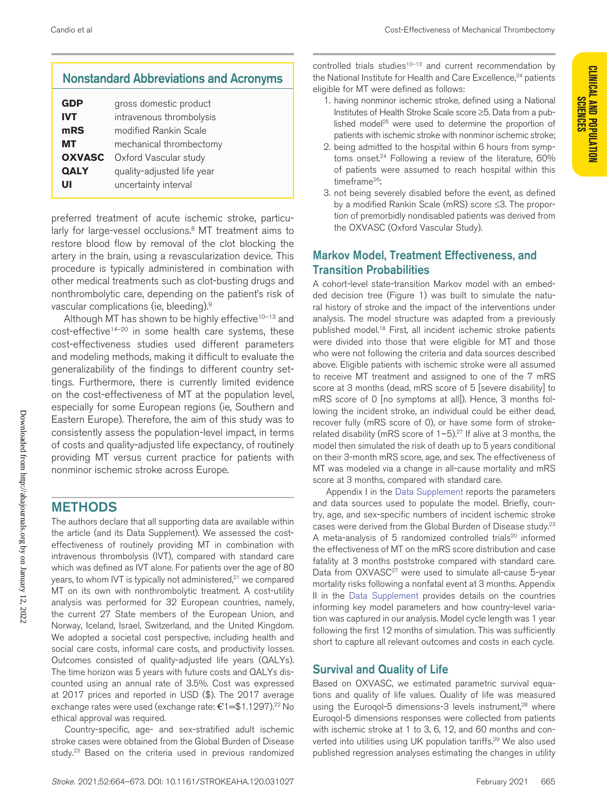**CLINICAL AND POPULATION** 

- 2. being admitted to the hospital within 6 hours from symptoms onset.<sup>24</sup> Following a review of the literature, 60% of patients were assumed to reach hospital within this timeframe<sup>26</sup>;
- 3. not being severely disabled before the event, as defined by a modified Rankin Scale (mRS) score ≤3. The proportion of premorbidly nondisabled patients was derived from the OXVASC (Oxford Vascular Study).

## Markov Model, Treatment Effectiveness, and Transition Probabilities

A cohort-level state-transition Markov model with an embedded decision tree (Figure 1) was built to simulate the natural history of stroke and the impact of the interventions under analysis. The model structure was adapted from a previously published model.18 First, all incident ischemic stroke patients were divided into those that were eligible for MT and those who were not following the criteria and data sources described above. Eligible patients with ischemic stroke were all assumed to receive MT treatment and assigned to one of the 7 mRS score at 3 months (dead, mRS score of 5 [severe disability] to mRS score of 0 [no symptoms at all]). Hence, 3 months following the incident stroke, an individual could be either dead, recover fully (mRS score of 0), or have some form of strokerelated disability (mRS score of  $1-5$ ).<sup>27</sup> If alive at 3 months, the model then simulated the risk of death up to 5 years conditional on their 3-month mRS score, age, and sex. The effectiveness of MT was modeled via a change in all-cause mortality and mRS score at 3 months, compared with standard care.

Appendix I in the [Data Supplement](https://www.ahajournals.org/doi/suppl/10.1161/STROKEAHA.120.031027) reports the parameters and data sources used to populate the model. Briefly, country, age, and sex-specific numbers of incident ischemic stroke cases were derived from the Global Burden of Disease study.23 A meta-analysis of 5 randomized controlled trials<sup>20</sup> informed the effectiveness of MT on the mRS score distribution and case fatality at 3 months poststroke compared with standard care. Data from OXVASC<sup>27</sup> were used to simulate all-cause 5-year mortality risks following a nonfatal event at 3 months. Appendix II in the [Data Supplement](https://www.ahajournals.org/doi/suppl/10.1161/STROKEAHA.120.031027) provides details on the countries informing key model parameters and how country-level variation was captured in our analysis. Model cycle length was 1 year following the first 12 months of simulation. This was sufficiently short to capture all relevant outcomes and costs in each cycle.

## Survival and Quality of Life

Based on OXVASC, we estimated parametric survival equations and quality of life values. Quality of life was measured using the Eurogol-5 dimensions-3 levels instrument,<sup>28</sup> where Euroqol-5 dimensions responses were collected from patients with ischemic stroke at 1 to 3, 6, 12, and 60 months and converted into utilities using UK population tariffs.<sup>29</sup> We also used published regression analyses estimating the changes in utility

## Nonstandard Abbreviations and Acronyms

| GDP           | gross domestic product     |
|---------------|----------------------------|
| <b>IVT</b>    | intravenous thrombolysis   |
| mRS           | modified Rankin Scale      |
| мт            | mechanical thrombectomy    |
| <b>OXVASC</b> | Oxford Vascular study      |
| <b>QALY</b>   | quality-adjusted life year |
| w             | uncertainty interval       |

preferred treatment of acute ischemic stroke, particularly for large-vessel occlusions.<sup>8</sup> MT treatment aims to restore blood flow by removal of the clot blocking the artery in the brain, using a revascularization device. This procedure is typically administered in combination with other medical treatments such as clot-busting drugs and nonthrombolytic care, depending on the patient's risk of vascular complications (ie, bleeding).9

Although MT has shown to be highly effective<sup>10-13</sup> and cost-effective<sup>14-20</sup> in some health care systems, these cost-effectiveness studies used different parameters and modeling methods, making it difficult to evaluate the generalizability of the findings to different country settings. Furthermore, there is currently limited evidence on the cost-effectiveness of MT at the population level, especially for some European regions (ie, Southern and Eastern Europe). Therefore, the aim of this study was to consistently assess the population-level impact, in terms of costs and quality-adjusted life expectancy, of routinely providing MT versus current practice for patients with nonminor ischemic stroke across Europe.

## METHODS

The authors declare that all supporting data are available within the article (and its Data Supplement). We assessed the costeffectiveness of routinely providing MT in combination with intravenous thrombolysis (IVT), compared with standard care which was defined as IVT alone. For patients over the age of 80 years, to whom IVT is typically not administered,<sup>21</sup> we compared MT on its own with nonthrombolytic treatment. A cost-utility analysis was performed for 32 European countries, namely, the current 27 State members of the European Union, and Norway, Iceland, Israel, Switzerland, and the United Kingdom. We adopted a societal cost perspective, including health and social care costs, informal care costs, and productivity losses. Outcomes consisted of quality-adjusted life years (QALYs). The time horizon was 5 years with future costs and QALYs discounted using an annual rate of 3.5%. Cost was expressed at 2017 prices and reported in USD (\$). The 2017 average exchange rates were used (exchange rate: €1=\$1.1297).22 No ethical approval was required.

Country-specific, age- and sex-stratified adult ischemic stroke cases were obtained from the Global Burden of Disease study.<sup>23</sup> Based on the criteria used in previous randomized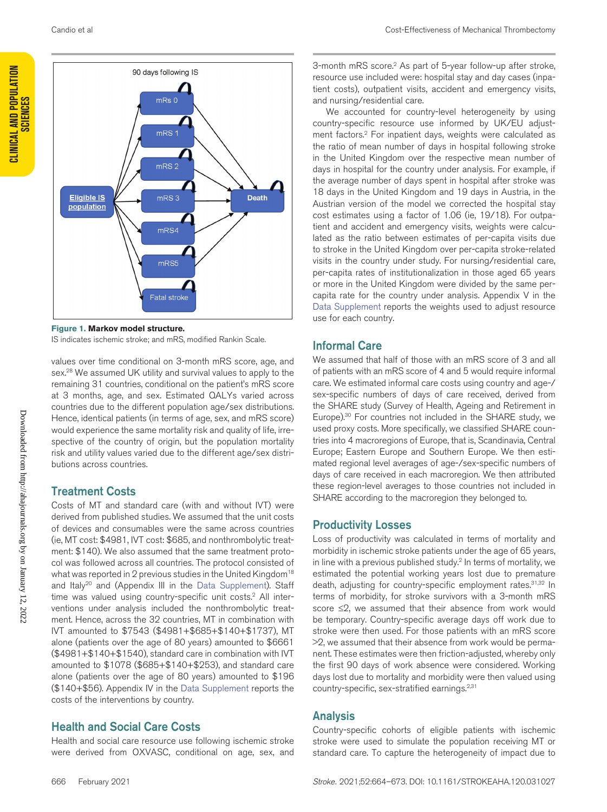

**Figure 1. Markov model structure.** IS indicates ischemic stroke; and mRS, modified Rankin Scale.

values over time conditional on 3-month mRS score, age, and sex.28 We assumed UK utility and survival values to apply to the remaining 31 countries, conditional on the patient's mRS score at 3 months, age, and sex. Estimated QALYs varied across countries due to the different population age/sex distributions. Hence, identical patients (in terms of age, sex, and mRS score) would experience the same mortality risk and quality of life, irrespective of the country of origin, but the population mortality risk and utility values varied due to the different age/sex distributions across countries.

## Treatment Costs

Costs of MT and standard care (with and without IVT) were derived from published studies. We assumed that the unit costs of devices and consumables were the same across countries (ie, MT cost: \$4981, IVT cost: \$685, and nonthrombolytic treatment: \$140). We also assumed that the same treatment protocol was followed across all countries. The protocol consisted of what was reported in 2 previous studies in the United Kingdom<sup>18</sup> and Italy<sup>20</sup> and (Appendix III in the [Data Supplement\)](https://www.ahajournals.org/doi/suppl/10.1161/STROKEAHA.120.031027). Staff time was valued using country-specific unit costs.<sup>2</sup> All interventions under analysis included the nonthrombolytic treatment. Hence, across the 32 countries, MT in combination with IVT amounted to \$7543 (\$4981+\$685+\$140+\$1737), MT alone (patients over the age of 80 years) amounted to \$6661 (\$4981+\$140+\$1540), standard care in combination with IVT amounted to \$1078 (\$685+\$140+\$253), and standard care alone (patients over the age of 80 years) amounted to \$196 (\$140+\$56). Appendix IV in the [Data Supplement](https://www.ahajournals.org/doi/suppl/10.1161/STROKEAHA.120.031027) reports the costs of the interventions by country.

### Health and Social Care Costs

Health and social care resource use following ischemic stroke were derived from OXVASC, conditional on age, sex, and

3-month mRS score.2 As part of 5-year follow-up after stroke, resource use included were: hospital stay and day cases (inpatient costs), outpatient visits, accident and emergency visits, and nursing/residential care.

We accounted for country-level heterogeneity by using country-specific resource use informed by UK/EU adjustment factors.2 For inpatient days, weights were calculated as the ratio of mean number of days in hospital following stroke in the United Kingdom over the respective mean number of days in hospital for the country under analysis. For example, if the average number of days spent in hospital after stroke was 18 days in the United Kingdom and 19 days in Austria, in the Austrian version of the model we corrected the hospital stay cost estimates using a factor of 1.06 (ie, 19/18). For outpatient and accident and emergency visits, weights were calculated as the ratio between estimates of per-capita visits due to stroke in the United Kingdom over per-capita stroke-related visits in the country under study. For nursing/residential care, per-capita rates of institutionalization in those aged 65 years or more in the United Kingdom were divided by the same percapita rate for the country under analysis. Appendix V in the [Data Supplement](https://www.ahajournals.org/doi/suppl/10.1161/STROKEAHA.120.031027) reports the weights used to adjust resource use for each country.

### Informal Care

We assumed that half of those with an mRS score of 3 and all of patients with an mRS score of 4 and 5 would require informal care. We estimated informal care costs using country and age-/ sex-specific numbers of days of care received, derived from the SHARE study (Survey of Health, Ageing and Retirement in Europe).<sup>30</sup> For countries not included in the SHARE study, we used proxy costs. More specifically, we classified SHARE countries into 4 macroregions of Europe, that is, Scandinavia, Central Europe; Eastern Europe and Southern Europe. We then estimated regional level averages of age-/sex-specific numbers of days of care received in each macroregion. We then attributed these region-level averages to those countries not included in SHARE according to the macroregion they belonged to.

### Productivity Losses

Loss of productivity was calculated in terms of mortality and morbidity in ischemic stroke patients under the age of 65 years, in line with a previous published study.<sup>2</sup> In terms of mortality, we estimated the potential working years lost due to premature death, adjusting for country-specific employment rates. 31,32 In terms of morbidity, for stroke survivors with a 3-month mRS score ≤2, we assumed that their absence from work would be temporary. Country-specific average days off work due to stroke were then used. For those patients with an mRS score >2, we assumed that their absence from work would be permanent. These estimates were then friction-adjusted, whereby only the first 90 days of work absence were considered. Working days lost due to mortality and morbidity were then valued using country-specific, sex-stratified earnings.2,31

### Analysis

Country-specific cohorts of eligible patients with ischemic stroke were used to simulate the population receiving MT or standard care. To capture the heterogeneity of impact due to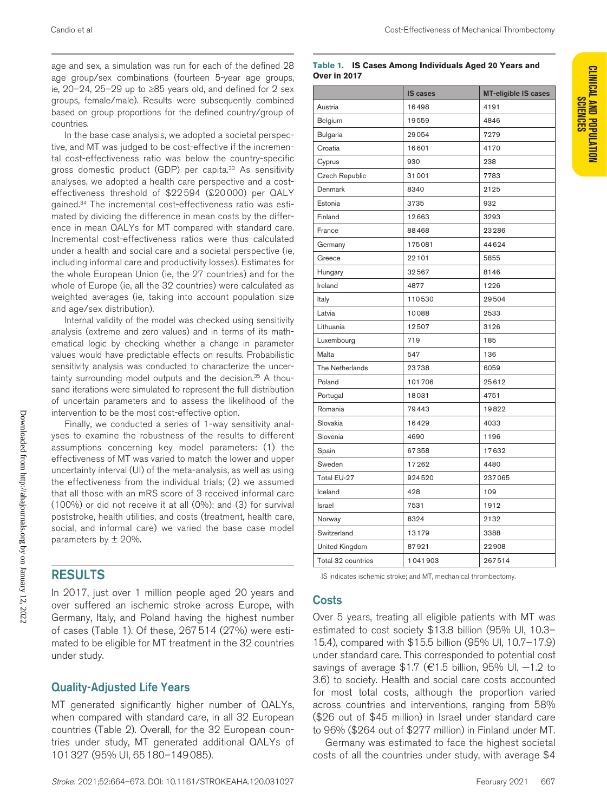age and sex, a simulation was run for each of the defined 28 age group/sex combinations (fourteen 5-year age groups, ie, 20–24, 25–29 up to ≥85 years old, and defined for 2 sex groups, female/male). Results were subsequently combined based on group proportions for the defined country/group of countries.

In the base case analysis, we adopted a societal perspective, and MT was judged to be cost-effective if the incremental cost-effectiveness ratio was below the country-specific gross domestic product (GDP) per capita.<sup>33</sup> As sensitivity analyses, we adopted a health care perspective and a costeffectiveness threshold of \$22 594 (£20 000) per QALY gained.34 The incremental cost-effectiveness ratio was estimated by dividing the difference in mean costs by the difference in mean QALYs for MT compared with standard care. Incremental cost-effectiveness ratios were thus calculated under a health and social care and a societal perspective (ie, including informal care and productivity losses). Estimates for the whole European Union (ie, the 27 countries) and for the whole of Europe (ie, all the 32 countries) were calculated as weighted averages (ie, taking into account population size and age/sex distribution).

Internal validity of the model was checked using sensitivity analysis (extreme and zero values) and in terms of its mathematical logic by checking whether a change in parameter values would have predictable effects on results. Probabilistic sensitivity analysis was conducted to characterize the uncertainty surrounding model outputs and the decision.<sup>35</sup> A thousand iterations were simulated to represent the full distribution of uncertain parameters and to assess the likelihood of the intervention to be the most cost-effective option.

Finally, we conducted a series of 1-way sensitivity analyses to examine the robustness of the results to different assumptions concerning key model parameters: (1) the effectiveness of MT was varied to match the lower and upper uncertainty interval (UI) of the meta-analysis, as well as using the effectiveness from the individual trials; (2) we assumed that all those with an mRS score of 3 received informal care (100%) or did not receive it at all (0%); and (3) for survival poststroke, health utilities, and costs (treatment, health care, social, and informal care) we varied the base case model parameters by  $\pm$  20%.

## RESULTS

In 2017, just over 1 million people aged 20 years and over suffered an ischemic stroke across Europe, with Germany, Italy, and Poland having the highest number of cases (Table 1). Of these, 267514 (27%) were estimated to be eligible for MT treatment in the 32 countries under study.

## Quality-Adjusted Life Years

MT generated significantly higher number of QALYs, when compared with standard care, in all 32 European countries (Table 2). Overall, for the 32 European countries under study, MT generated additional QALYs of 101327 (95% UI, 65180–149085).

#### **Table 1. IS Cases Among Individuals Aged 20 Years and Over in 2017**

|                       | <b>IS cases</b> |        |  |
|-----------------------|-----------------|--------|--|
| Austria               | 16498           | 4191   |  |
| Belgium               | 19559           | 4846   |  |
| <b>Bulgaria</b>       | 29054           | 7279   |  |
| Croatia               | 16601           | 4170   |  |
| Cyprus                | 930             | 238    |  |
| Czech Republic        | 31001           | 7783   |  |
| Denmark               | 8340            | 2125   |  |
| Estonia               | 3735            | 932    |  |
| Finland               | 12663           | 3293   |  |
| France                | 88468           | 23286  |  |
| Germany               | 175081          | 44624  |  |
| Greece                | 22101           | 5855   |  |
| Hungary               | 32567           | 8146   |  |
| Ireland               | 4877            | 1226   |  |
| Italy                 | 110530          | 29504  |  |
| Latvia                | 10088           | 2533   |  |
| Lithuania             | 12507           | 3126   |  |
| Luxembourg            | 719             | 185    |  |
| Malta                 | 547             | 136    |  |
| The Netherlands       | 23738           | 6059   |  |
| Poland                | 101706          | 25612  |  |
| Portugal              | 18031           | 4751   |  |
| Romania               | 79443           | 19822  |  |
| Slovakia              | 16429           | 4033   |  |
| Slovenia              | 4690            | 1196   |  |
| Spain                 | 67358           | 17632  |  |
| Sweden                | 17262           | 4480   |  |
| Total EU-27           | 924520          | 237065 |  |
| Iceland               | 428             | 109    |  |
| Israel                | 7531            | 1912   |  |
| Norway                | 8324            | 2132   |  |
| Switzerland           | 13179           | 3388   |  |
| <b>United Kingdom</b> | 87921           | 22908  |  |
| Total 32 countries    | 1041903         | 267514 |  |

IS indicates ischemic stroke; and MT, mechanical thrombectomy.

## Costs

Over 5 years, treating all eligible patients with MT was estimated to cost society \$13.8 billion (95% UI, 10.3– 15.4), compared with \$15.5 billion (95% UI, 10.7–17.9) under standard care. This corresponded to potential cost savings of average \$1.7 (€1.5 billion, 95% UI, -1.2 to 3.6) to society. Health and social care costs accounted for most total costs, although the proportion varied across countries and interventions, ranging from 58% (\$26 out of \$45 million) in Israel under standard care to 96% (\$264 out of \$277 million) in Finland under MT.

Germany was estimated to face the highest societal costs of all the countries under study, with average \$4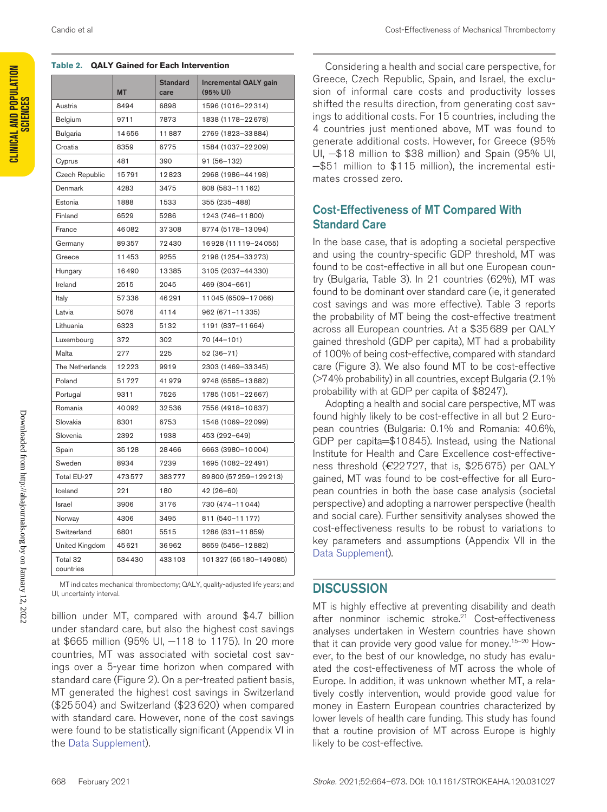| Table 2. QALT Gained for Each Intervention |           |                         |                                     |  |  |  |
|--------------------------------------------|-----------|-------------------------|-------------------------------------|--|--|--|
|                                            | <b>MT</b> | <b>Standard</b><br>care | Incremental QALY gain<br>$(95%$ UI) |  |  |  |
| Austria                                    | 8494      | 6898                    | 1596 (1016-22314)                   |  |  |  |
| Belgium                                    | 9711      | 7873                    | 1838 (1178-22678)                   |  |  |  |
| <b>Bulgaria</b>                            | 14656     | 11887                   | 2769 (1823-33884)                   |  |  |  |
| Croatia                                    | 8359      | 6775                    | 1584 (1037-22209)                   |  |  |  |
| Cyprus                                     | 481       | 390                     | 91 (56-132)                         |  |  |  |
| <b>Czech Republic</b>                      | 15791     | 12823                   | 2968 (1986-44198)                   |  |  |  |
| Denmark                                    | 4283      | 3475                    | 808 (583-11162)                     |  |  |  |
| Estonia                                    | 1888      | 1533                    | 355 (235-488)                       |  |  |  |
| Finland                                    | 6529      | 5286                    | 1243 (746-11800)                    |  |  |  |
| France                                     | 46082     | 37308                   | 8774 (5178-13094)                   |  |  |  |
| Germany                                    | 89357     | 72430                   | 16928 (11119-24055)                 |  |  |  |
| Greece                                     | 11453     | 9255                    | 2198 (1254-33273)                   |  |  |  |
| Hungary                                    | 16490     | 13385                   | 3105 (2037-44330)                   |  |  |  |
| Ireland                                    | 2515      | 2045                    | 469 (304-661)                       |  |  |  |
| Italy                                      | 57336     | 46291                   | 11045 (6509-17066)                  |  |  |  |
| Latvia                                     | 5076      | 4114                    | 962 (671-11335)                     |  |  |  |
| Lithuania                                  | 6323      | 5132                    | 1191 (837-11664)                    |  |  |  |
| Luxembourg                                 | 372       | 302                     | 70 (44-101)                         |  |  |  |
| Malta                                      | 277       | 225                     | 52 (36-71)                          |  |  |  |
| The Netherlands                            | 12223     | 9919                    | 2303 (1469-33345)                   |  |  |  |
| Poland                                     | 51727     | 41979                   | 9748 (6585-13882)                   |  |  |  |
| Portugal                                   | 9311      | 7526                    | 1785 (1051-22667)                   |  |  |  |
| Romania                                    | 40092     | 32536                   | 7556 (4918-10837)                   |  |  |  |
| Slovakia                                   | 8301      | 6753                    | 1548 (1069-22099)                   |  |  |  |
| Slovenia                                   | 2392      | 1938                    | 453 (292-649)                       |  |  |  |
| Spain                                      | 35128     | 28466                   | 6663 (3980-10004)                   |  |  |  |
| Sweden                                     | 8934      | 7239                    | 1695 (1082-22491)                   |  |  |  |
| Total EU-27                                | 473577    | 383777                  | 89800 (57259-129213)                |  |  |  |
| Iceland                                    | 221       | 180                     | $42(26-60)$                         |  |  |  |
| Israel                                     | 3906      | 3176                    | 730 (474-11044)                     |  |  |  |
| Norway                                     | 4306      | 3495                    | 811 (540-11177)                     |  |  |  |
| Switzerland                                | 6801      | 5515                    | 1286 (831-11859)                    |  |  |  |
| United Kingdom                             | 45621     | 36962                   | 8659 (5456-12882)                   |  |  |  |
| Total 32<br>countries                      | 534430    | 433103                  | 101327 (65180-149085)               |  |  |  |

**Table 2. QALY Gained for Each Intervention**

MT indicates mechanical thrombectomy; QALY, quality-adjusted life years; and UI, uncertainty interval.

billion under MT, compared with around \$4.7 billion under standard care, but also the highest cost savings at \$665 million (95% UI, -118 to 1175). In 20 more countries, MT was associated with societal cost savings over a 5-year time horizon when compared with standard care (Figure 2). On a per-treated patient basis, MT generated the highest cost savings in Switzerland (\$25504) and Switzerland (\$23620) when compared with standard care. However, none of the cost savings were found to be statistically significant (Appendix VI in the [Data Supplement\)](https://www.ahajournals.org/doi/suppl/10.1161/STROKEAHA.120.031027).

Considering a health and social care perspective, for Greece, Czech Republic, Spain, and Israel, the exclusion of informal care costs and productivity losses shifted the results direction, from generating cost savings to additional costs. For 15 countries, including the 4 countries just mentioned above, MT was found to generate additional costs. However, for Greece (95% UI, −\$18 million to \$38 million) and Spain (95% UI, −\$51 million to \$115 million), the incremental estimates crossed zero.

## Cost-Effectiveness of MT Compared With Standard Care

In the base case, that is adopting a societal perspective and using the country-specific GDP threshold, MT was found to be cost-effective in all but one European country (Bulgaria, Table 3). In 21 countries (62%), MT was found to be dominant over standard care (ie, it generated cost savings and was more effective). Table 3 reports the probability of MT being the cost-effective treatment across all European countries. At a \$35689 per QALY gained threshold (GDP per capita), MT had a probability of 100% of being cost-effective, compared with standard care (Figure 3). We also found MT to be cost-effective (>74% probability) in all countries, except Bulgaria (2.1% probability with at GDP per capita of \$8247).

Adopting a health and social care perspective, MT was found highly likely to be cost-effective in all but 2 European countries (Bulgaria: 0.1% and Romania: 40.6%, GDP per capita=\$10845). Instead, using the National Institute for Health and Care Excellence cost-effectiveness threshold (€22727, that is, \$25675) per QALY gained, MT was found to be cost-effective for all European countries in both the base case analysis (societal perspective) and adopting a narrower perspective (health and social care). Further sensitivity analyses showed the cost-effectiveness results to be robust to variations to key parameters and assumptions (Appendix VII in the [Data Supplement](https://www.ahajournals.org/doi/suppl/10.1161/STROKEAHA.120.031027)).

## **DISCUSSION**

MT is highly effective at preventing disability and death after nonminor ischemic stroke.<sup>21</sup> Cost-effectiveness analyses undertaken in Western countries have shown that it can provide very good value for money.<sup>15-20</sup> However, to the best of our knowledge, no study has evaluated the cost-effectiveness of MT across the whole of Europe. In addition, it was unknown whether MT, a relatively costly intervention, would provide good value for money in Eastern European countries characterized by lower levels of health care funding. This study has found that a routine provision of MT across Europe is highly likely to be cost-effective.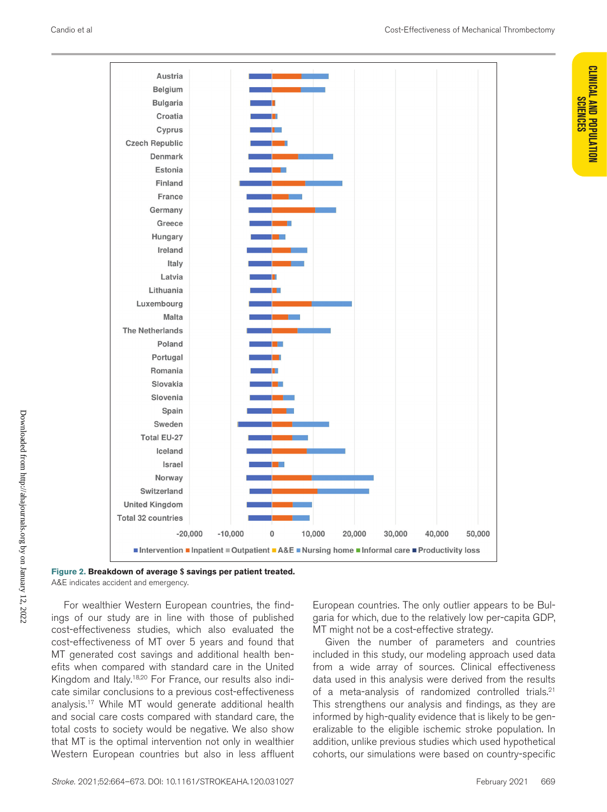**CLINICAL AND POPULATION** 



#### **Figure 2. Breakdown of average \$ savings per patient treated.** A&E indicates accident and emergency.

For wealthier Western European countries, the findings of our study are in line with those of published cost-effectiveness studies, which also evaluated the cost-effectiveness of MT over 5 years and found that MT generated cost savings and additional health benefits when compared with standard care in the United Kingdom and Italy.18,20 For France, our results also indicate similar conclusions to a previous cost-effectiveness analysis.17 While MT would generate additional health and social care costs compared with standard care, the total costs to society would be negative. We also show that MT is the optimal intervention not only in wealthier Western European countries but also in less affluent European countries. The only outlier appears to be Bulgaria for which, due to the relatively low per-capita GDP, MT might not be a cost-effective strategy.

Given the number of parameters and countries included in this study, our modeling approach used data from a wide array of sources. Clinical effectiveness data used in this analysis were derived from the results of a meta-analysis of randomized controlled trials.<sup>21</sup> This strengthens our analysis and findings, as they are informed by high-quality evidence that is likely to be generalizable to the eligible ischemic stroke population. In addition, unlike previous studies which used hypothetical cohorts, our simulations were based on country-specific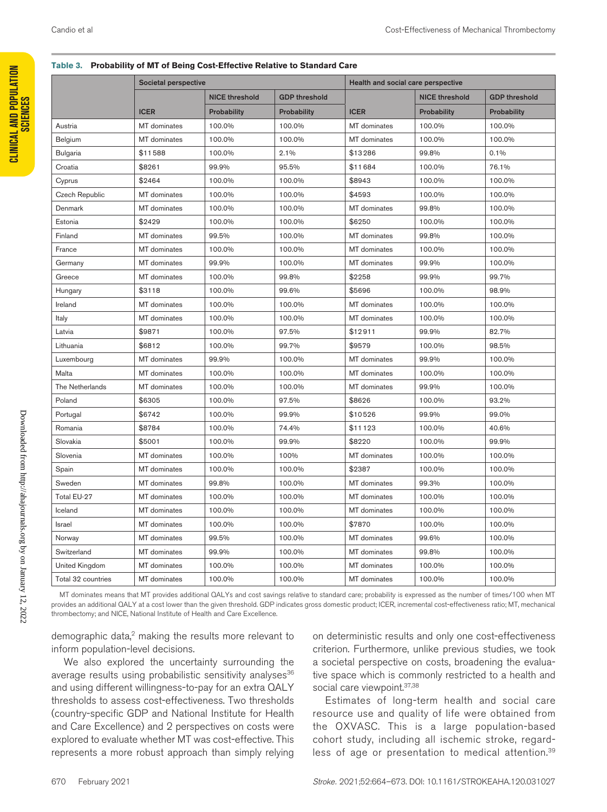|                    |              | Societal perspective  |                      |                     | Health and social care perspective |                                     |  |
|--------------------|--------------|-----------------------|----------------------|---------------------|------------------------------------|-------------------------------------|--|
|                    | <b>ICER</b>  | <b>NICE threshold</b> | <b>GDP threshold</b> |                     | <b>NICE threshold</b>              | <b>GDP threshold</b><br>Probability |  |
|                    |              | Probability           | Probability          | <b>ICER</b>         | Probability                        |                                     |  |
| Austria            | MT dominates | 100.0%                | 100.0%               | MT dominates        | 100.0%                             | 100.0%                              |  |
| Belgium            | MT dominates | 100.0%                | 100.0%               | MT dominates        | 100.0%                             | 100.0%                              |  |
| <b>Bulgaria</b>    | \$11588      | 100.0%                | 2.1%                 | \$13286             | 99.8%                              | 0.1%                                |  |
| Croatia            | \$8261       | 99.9%                 | 95.5%                | \$11684             | 100.0%                             | 76.1%                               |  |
| Cyprus             | \$2464       | 100.0%                | 100.0%               | \$8943              | 100.0%                             | 100.0%                              |  |
| Czech Republic     | MT dominates | 100.0%                | 100.0%               | \$4593              | 100.0%                             | 100.0%                              |  |
| Denmark            | MT dominates | 100.0%                | 100.0%               | MT dominates        | 99.8%                              | 100.0%                              |  |
| Estonia            | \$2429       | 100.0%                | 100.0%               | \$6250              | 100.0%                             | 100.0%                              |  |
| Finland            | MT dominates | 99.5%                 | 100.0%               | MT dominates        | 99.8%                              | 100.0%                              |  |
| France             | MT dominates | 100.0%                | 100.0%               | MT dominates        | 100.0%                             | 100.0%                              |  |
| Germany            | MT dominates | 99.9%                 | 100.0%               | MT dominates        | 99.9%                              | 100.0%                              |  |
| Greece             | MT dominates | 100.0%                | 99.8%                | \$2258              | 99.9%                              | 99.7%                               |  |
| Hungary            | \$3118       | 100.0%                | 99.6%                | \$5696              | 100.0%                             | 98.9%                               |  |
| Ireland            | MT dominates | 100.0%                | 100.0%               | MT dominates        | 100.0%                             | 100.0%                              |  |
| Italy              | MT dominates | 100.0%                | 100.0%               | MT dominates        | 100.0%                             | 100.0%                              |  |
| Latvia             | \$9871       | 100.0%                | 97.5%                | \$12911             | 99.9%                              | 82.7%                               |  |
| Lithuania          | \$6812       | 100.0%                | 99.7%                | \$9579              | 100.0%                             | 98.5%                               |  |
| Luxembourg         | MT dominates | 99.9%                 | 100.0%               | MT dominates        | 99.9%                              | 100.0%                              |  |
| Malta              | MT dominates | 100.0%                | 100.0%               | MT dominates        | 100.0%                             | 100.0%                              |  |
| The Netherlands    | MT dominates | 100.0%                | 100.0%               | MT dominates        | 99.9%                              | 100.0%                              |  |
| Poland             | \$6305       | 100.0%                | 97.5%                | \$8626              | 100.0%                             | 93.2%                               |  |
| Portugal           | \$6742       | 100.0%                | 99.9%                | \$10526             | 99.9%                              | 99.0%                               |  |
| Romania            | \$8784       | 100.0%                | 74.4%                | \$11123             | 100.0%                             | 40.6%                               |  |
| Slovakia           | \$5001       | 100.0%                | 99.9%                | \$8220              | 100.0%                             | 99.9%                               |  |
| Slovenia           | MT dominates | 100.0%                | 100%                 | MT dominates        | 100.0%                             | 100.0%                              |  |
| Spain              | MT dominates | 100.0%                | 100.0%               | \$2387              | 100.0%                             | 100.0%                              |  |
| Sweden             | MT dominates | 99.8%                 | 100.0%               | MT dominates        | 99.3%                              | 100.0%                              |  |
| Total EU-27        | MT dominates | 100.0%                | 100.0%               | MT dominates        | 100.0%                             | 100.0%                              |  |
| Iceland            | MT dominates | 100.0%                | 100.0%               | MT dominates        | 100.0%                             | 100.0%                              |  |
| Israel             | MT dominates | 100.0%                | 100.0%               | \$7870              | 100.0%                             | 100.0%                              |  |
| Norway             | MT dominates | 99.5%                 | 100.0%               | MT dominates        | 99.6%                              | 100.0%                              |  |
| Switzerland        | MT dominates | 99.9%                 | 100.0%               | <b>MT</b> dominates | 99.8%                              | 100.0%                              |  |
| United Kingdom     | MT dominates | 100.0%                | 100.0%               | MT dominates        | 100.0%                             | 100.0%                              |  |
| Total 32 countries | MT dominates | 100.0%                | 100.0%               | MT dominates        | 100.0%                             | 100.0%                              |  |

#### **Table 3. Probability of MT of Being Cost-Effective Relative to Standard Care**

MT dominates means that MT provides additional QALYs and cost savings relative to standard care; probability is expressed as the number of times/100 when MT provides an additional QALY at a cost lower than the given threshold. GDP indicates gross domestic product; ICER, incremental cost-effectiveness ratio; MT, mechanical thrombectomy; and NICE, National Institute of Health and Care Excellence.

demographic data,<sup>2</sup> making the results more relevant to inform population-level decisions.

We also explored the uncertainty surrounding the average results using probabilistic sensitivity analyses<sup>36</sup> and using different willingness-to-pay for an extra QALY thresholds to assess cost-effectiveness. Two thresholds (country-specific GDP and National Institute for Health and Care Excellence) and 2 perspectives on costs were explored to evaluate whether MT was cost-effective. This represents a more robust approach than simply relying

on deterministic results and only one cost-effectiveness criterion. Furthermore, unlike previous studies, we took a societal perspective on costs, broadening the evaluative space which is commonly restricted to a health and social care viewpoint. 37,38

Estimates of long-term health and social care resource use and quality of life were obtained from the OXVASC. This is a large population-based cohort study, including all ischemic stroke, regardless of age or presentation to medical attention.<sup>39</sup>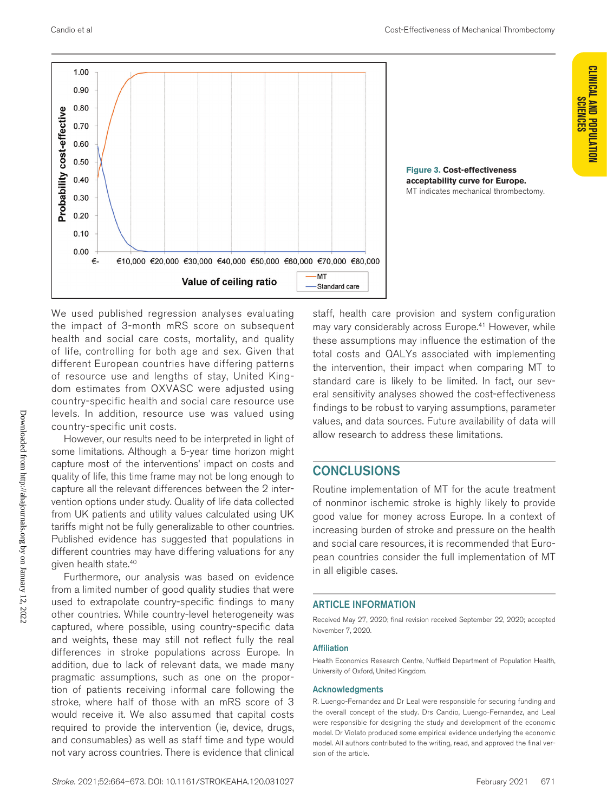**Figure 3. Cost-effectiveness acceptability curve for Europe.** MT indicates mechanical thrombectomy.



We used published regression analyses evaluating the impact of 3-month mRS score on subsequent health and social care costs, mortality, and quality of life, controlling for both age and sex. Given that different European countries have differing patterns of resource use and lengths of stay, United Kingdom estimates from OXVASC were adjusted using country-specific health and social care resource use levels. In addition, resource use was valued using country-specific unit costs.

However, our results need to be interpreted in light of some limitations. Although a 5-year time horizon might capture most of the interventions' impact on costs and quality of life, this time frame may not be long enough to capture all the relevant differences between the 2 intervention options under study. Quality of life data collected from UK patients and utility values calculated using UK tariffs might not be fully generalizable to other countries. Published evidence has suggested that populations in different countries may have differing valuations for any given health state.40

Furthermore, our analysis was based on evidence from a limited number of good quality studies that were used to extrapolate country-specific findings to many other countries. While country-level heterogeneity was captured, where possible, using country-specific data and weights, these may still not reflect fully the real differences in stroke populations across Europe. In addition, due to lack of relevant data, we made many pragmatic assumptions, such as one on the proportion of patients receiving informal care following the stroke, where half of those with an mRS score of 3 would receive it. We also assumed that capital costs required to provide the intervention (ie, device, drugs, and consumables) as well as staff time and type would not vary across countries. There is evidence that clinical staff, health care provision and system configuration may vary considerably across Europe.<sup>41</sup> However, while these assumptions may influence the estimation of the total costs and QALYs associated with implementing the intervention, their impact when comparing MT to standard care is likely to be limited. In fact, our several sensitivity analyses showed the cost-effectiveness findings to be robust to varying assumptions, parameter values, and data sources. Future availability of data will allow research to address these limitations.

## **CONCLUSIONS**

Routine implementation of MT for the acute treatment of nonminor ischemic stroke is highly likely to provide good value for money across Europe. In a context of increasing burden of stroke and pressure on the health and social care resources, it is recommended that European countries consider the full implementation of MT in all eligible cases.

#### ARTICLE INFORMATION

Received May 27, 2020; final revision received September 22, 2020; accepted November 7, 2020.

#### **Affiliation**

Health Economics Research Centre, Nuffield Department of Population Health, University of Oxford, United Kingdom.

#### Acknowledgments

R. Luengo-Fernandez and Dr Leal were responsible for securing funding and the overall concept of the study. Drs Candio, Luengo-Fernandez, and Leal were responsible for designing the study and development of the economic model. Dr Violato produced some empirical evidence underlying the economic model. All authors contributed to the writing, read, and approved the final version of the article.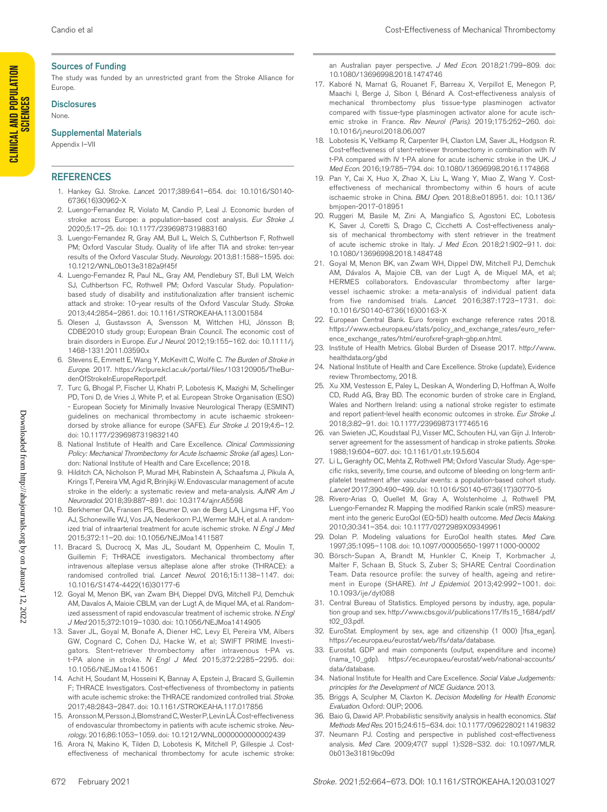#### Sources of Funding

The study was funded by an unrestricted grant from the Stroke Alliance for Europe.

#### **Disclosures**

None.

#### Supplemental Materials

Appendix I–VII

#### **REFERENCES**

- 1. Hankey GJ. Stroke. *Lancet*. 2017;389:641–654. doi: 10.1016/S0140- 6736(16)30962-X
- 2. Luengo-Fernandez R, Violato M, Candio P, Leal J. Economic burden of stroke across Europe: a population-based cost analysis. *Eur Stroke J*. 2020;5:17–25. doi: 10.1177/2396987319883160
- 3. Luengo-Fernandez R, Gray AM, Bull L, Welch S, Cuthbertson F, Rothwell PM; Oxford Vascular Study. Quality of life after TIA and stroke: ten-year results of the Oxford Vascular Study. *Neurology*. 2013;81:1588–1595. doi: 10.1212/WNL.0b013e3182a9f45f
- 4. Luengo-Fernandez R, Paul NL, Gray AM, Pendlebury ST, Bull LM, Welch SJ, Cuthbertson FC, Rothwell PM; Oxford Vascular Study. Populationbased study of disability and institutionalization after transient ischemic attack and stroke: 10-year results of the Oxford Vascular Study. *Stroke*. 2013;44:2854–2861. doi: 10.1161/STROKEAHA.113.001584
- 5. Olesen J, Gustavsson A, Svensson M, Wittchen HU, Jönsson B; CDBE2010 study group; European Brain Council. The economic cost of brain disorders in Europe. *Eur J Neurol*. 2012;19:155–162. doi: 10.1111/j. 1468-1331.2011.03590.x
- 6. Stevens E, Emmett E, Wang Y, McKevitt C, Wolfe C. *The Burden of Stroke in Europe*. 2017. [https://kclpure.kcl.ac.uk/portal/files/103120905/TheBur](https://kclpure.kcl.ac.uk/portal/files/103120905/TheBurdenOfStrokeInEuropeReport.pdf)[denOfStrokeInEuropeReport.pdf.](https://kclpure.kcl.ac.uk/portal/files/103120905/TheBurdenOfStrokeInEuropeReport.pdf)
- 7. Turc G, Bhogal P, Fischer U, Khatri P, Lobotesis K, Mazighi M, Schellinger PD, Toni D, de Vries J, White P, et al. European Stroke Organisation (ESO) - European Society for Minimally Invasive Neurological Therapy (ESMINT) guidelines on mechanical thrombectomy in acute ischaemic strokeendorsed by stroke alliance for europe (SAFE). *Eur Stroke J*. 2019;4:6–12. doi: 10.1177/2396987319832140
- 8. National Institute of Health and Care Excellence. *Clinical Commissioning Policy: Mechanical Thrombectomy for Acute Ischaemic Stroke (all ages)*. London: National Institute of Health and Care Excellence; 2018.
- 9. Hilditch CA, Nicholson P, Murad MH, Rabinstein A, Schaafsma J, Pikula A, Krings T, Pereira VM, Agid R, Brinjikji W. Endovascular management of acute stroke in the elderly: a systematic review and meta-analysis. *AJNR Am J Neuroradiol*. 2018;39:887–891. doi: 10.3174/ajnr.A5598
- 10. Berkhemer OA, Fransen PS, Beumer D, van de Berg LA, Lingsma HF, Yoo AJ, Schonewille WJ, Vos JA, Nederkoorn PJ, Wermer MJH, et al. A randomized trial of intraarterial treatment for acute ischemic stroke. *N Engl J Med* 2015;372:11–20. doi: 10.1056/NEJMoa1411587
- 11. Bracard S, Ducrocq X, Mas JL, Soudant M, Oppenheim C, Moulin T, Guillemin F; THRACE investigators. Mechanical thrombectomy after intravenous alteplase versus alteplase alone after stroke (THRACE): a randomised controlled trial. *Lancet Neurol*. 2016;15:1138–1147. doi: 10.1016/S1474-4422(16)30177-6
- 12. Goyal M, Menon BK, van Zwam BH, Dieppel DVG, Mitchell PJ, Demchuk AM, Davalos A, Maioie CBLM, van der Lugt A, de Miquel MA, et al. Randomized assessment of rapid endovascular treatment of ischemic stroke. *N Engl J Med* 2015;372:1019–1030. doi: 10.1056/NEJMoa1414905
- 13. Saver JL, Goyal M, Bonafe A, Diener HC, Levy EI, Pereira VM, Albers GW, Cognard C, Cohen DJ, Hacke W, et al; SWIFT PRIME Investigators. Stent-retriever thrombectomy after intravenous t-PA vs. t-PA alone in stroke. *N Engl J Med*. 2015;372:2285–2295. doi: 10.1056/NEJMoa1415061
- 14. Achit H, Soudant M, Hosseini K, Bannay A, Epstein J, Bracard S, Guillemin F; THRACE Investigators. Cost-effectiveness of thrombectomy in patients with acute ischemic stroke: the THRACE randomized controlled trial. *Stroke*. 2017;48:2843–2847. doi: 10.1161/STROKEAHA.117.017856
- 15. Aronsson M, Persson J, Blomstrand C, Wester P, Levin LÅ. Cost-effectiveness of endovascular thrombectomy in patients with acute ischemic stroke. *Neurology*. 2016;86:1053–1059. doi: 10.1212/WNL.0000000000002439
- 16. Arora N, Makino K, Tilden D, Lobotesis K, Mitchell P, Gillespie J. Costeffectiveness of mechanical thrombectomy for acute ischemic stroke:

an Australian payer perspective. *J Med Econ*. 2018;21:799–809. doi: 10.1080/13696998.2018.1474746

- 17. Kaboré N, Marnat G, Rouanet F, Barreau X, Verpillot E, Menegon P, Maachi I, Berge J, Sibon I, Bénard A. Cost-effectiveness analysis of mechanical thrombectomy plus tissue-type plasminogen activator compared with tissue-type plasminogen activator alone for acute ischemic stroke in France. *Rev Neurol (Paris)*. 2019;175:252–260. doi: 10.1016/j.neurol.2018.06.007
- 18. Lobotesis K, Veltkamp R, Carpenter IH, Claxton LM, Saver JL, Hodgson R. Cost-effectiveness of stent-retriever thrombectomy in combination with IV t-PA compared with IV t-PA alone for acute ischemic stroke in the UK. *J Med Econ*. 2016;19:785–794. doi: 10.1080/13696998.2016.1174868
- 19. Pan Y, Cai X, Huo X, Zhao X, Liu L, Wang Y, Miao Z, Wang Y. Costeffectiveness of mechanical thrombectomy within 6 hours of acute ischaemic stroke in China. *BMJ Open*. 2018;8:e018951. doi: 10.1136/ bmjopen-2017-018951
- 20. Ruggeri M, Basile M, Zini A, Mangiafico S, Agostoni EC, Lobotesis K, Saver J, Coretti S, Drago C, Cicchetti A. Cost-effectiveness analysis of mechanical thrombectomy with stent retriever in the treatment of acute ischemic stroke in Italy. *J Med Econ*. 2018;21:902–911. doi: 10.1080/13696998.2018.1484748
- 21. Goyal M, Menon BK, van Zwam WH, Dippel DW, Mitchell PJ, Demchuk AM, Dávalos A, Majoie CB, van der Lugt A, de Miquel MA, et al; HERMES collaborators. Endovascular thrombectomy after largevessel ischaemic stroke: a meta-analysis of individual patient data from five randomised trials. *Lancet*. 2016;387:1723–1731. doi: 10.1016/S0140-6736(16)00163-X
- 22. European Central Bank. Euro foreign exchange reference rates 2018. [https://www.ecb.europa.eu/stats/policy\\_and\\_exchange\\_rates/euro\\_refer](https://www.ecb.europa.eu/stats/policy_and_exchange_rates/euro_reference_exchange_rates/html/eurofxref-graph-gbp.en.html)[ence\\_exchange\\_rates/html/eurofxref-graph-gbp.en.html.](https://www.ecb.europa.eu/stats/policy_and_exchange_rates/euro_reference_exchange_rates/html/eurofxref-graph-gbp.en.html)
- 23. Institute of Health Metrics. Global Burden of Disease 2017. [http://www.](http://www.healthdata.org/gbd) [healthdata.org/gbd](http://www.healthdata.org/gbd)
- 24. National Institute of Health and Care Excellence. Stroke (update), Evidence review Thrombectomy, 2018.
- 25. Xu XM, Vestesson E, Paley L, Desikan A, Wonderling D, Hoffman A, Wolfe CD, Rudd AG, Bray BD. The economic burden of stroke care in England, Wales and Northern Ireland: using a national stroke register to estimate and report patient-level health economic outcomes in stroke. *Eur Stroke J*. 2018;3:82–91. doi: 10.1177/2396987317746516
- 26. van Swieten JC, Koudstaal PJ, Visser MC, Schouten HJ, van Gijn J. Interobserver agreement for the assessment of handicap in stroke patients. *Stroke*. 1988;19:604–607. doi: 10.1161/01.str.19.5.604
- 27. Li L, Geraghty OC, Mehta Z, Rothwell PM; Oxford Vascular Study. Age-specific risks, severity, time course, and outcome of bleeding on long-term antiplatelet treatment after vascular events: a population-based cohort study. *Lancet* 2017;390:490–499. doi: 10.1016/S0140-6736(17)30770-5
- 28. Rivero-Arias O, Ouellet M, Gray A, Wolstenholme J, Rothwell PM, Luengo-Fernandez R. Mapping the modified Rankin scale (mRS) measurement into the generic EuroQol (EQ-5D) health outcome. *Med Decis Making*. 2010;30:341–354. doi: 10.1177/0272989X09349961
- 29. Dolan P. Modeling valuations for EuroQol health states. *Med Care*. 1997;35:1095–1108. doi: 10.1097/00005650-199711000-00002
- 30. Börsch-Supan A, Brandt M, Hunkler C, Kneip T, Korbmacher J, Malter F, Schaan B, Stuck S, Zuber S; SHARE Central Coordination Team. Data resource profile: the survey of health, ageing and retirement in Europe (SHARE). *Int J Epidemiol*. 2013;42:992–1001. doi: 10.1093/ije/dyt088
- 31. Central Bureau of Statistics. Employed persons by industry, age, population group and sex. [http://www.cbs.gov.il/publications17/lfs15\\_1684/pdf/](http://www.cbs.gov.il/publications17/lfs15_1684/pdf/t02_03.pdf) [t02\\_03.pdf.](http://www.cbs.gov.il/publications17/lfs15_1684/pdf/t02_03.pdf)
- 32. EuroStat. Employment by sex, age and citizenship (1 000) [lfsa\_egan]. [https://ec.europa.eu/eurostat/web/lfs/data/database.](https://ec.europa.eu/eurostat/web/lfs/data/database)
- 33. Eurostat. GDP and main components (output, expenditure and income) (nama\_10\_gdp). [https://ec.europa.eu/eurostat/web/national-accounts/](https://ec.europa.eu/eurostat/web/national-accounts/data/database) [data/database.](https://ec.europa.eu/eurostat/web/national-accounts/data/database)
- 34. National Institute for Health and Care Excellence. *Social Value Judgements: principles for the Development of NICE Guidance*. 2013.
- 35. Briggs A, Sculpher M, Claxton K. *Decision Modelling for Health Economic Evaluation*. Oxford: OUP; 2006.
- 36. Baio G, Dawid AP. Probabilistic sensitivity analysis in health economics. *Stat Methods Med Res*. 2015;24:615–634. doi: 10.1177/0962280211419832
- 37. Neumann PJ. Costing and perspective in published cost-effectiveness analysis. *Med Care*. 2009;47(7 suppl 1):S28–S32. doi: 10.1097/MLR. 0b013e31819bc09d

Downloaded from http://ahajournals.org by on January 12, 2022

Downloaded from http://ahajournals.org by on January 12, 2022